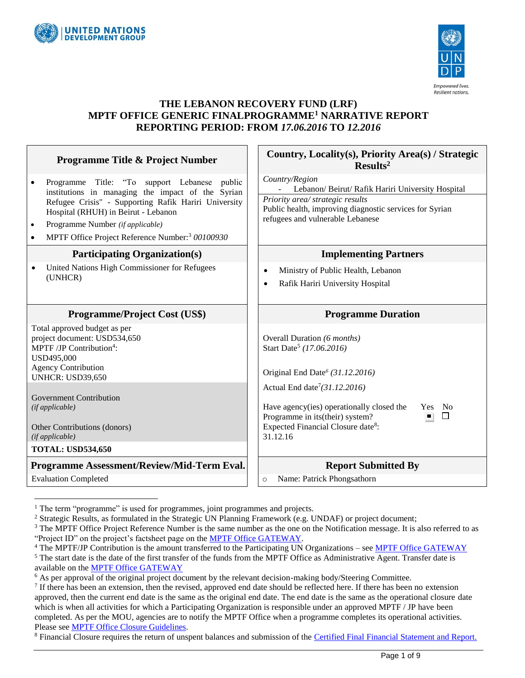



#### **THE LEBANON RECOVERY FUND (LRF) MPTF OFFICE GENERIC FINALPROGRAMME<sup>1</sup> NARRATIVE REPORT REPORTING PERIOD: FROM** *17.06.2016* **TO** *12.2016*

| <b>Programme Title &amp; Project Number</b>                                                                                                                                                                                                                                                                                                                                        | Country, Locality(s), Priority Area(s) / Strategic<br>Results <sup>2</sup>                                                                                                                                                                                                                                                              |
|------------------------------------------------------------------------------------------------------------------------------------------------------------------------------------------------------------------------------------------------------------------------------------------------------------------------------------------------------------------------------------|-----------------------------------------------------------------------------------------------------------------------------------------------------------------------------------------------------------------------------------------------------------------------------------------------------------------------------------------|
| Programme Title: "To support Lebanese public<br>$\bullet$<br>institutions in managing the impact of the Syrian<br>Refugee Crisis" - Supporting Rafik Hariri University<br>Hospital (RHUH) in Beirut - Lebanon<br>Programme Number (if applicable)<br>$\bullet$<br>MPTF Office Project Reference Number: <sup>3</sup> 00100930<br>$\bullet$<br><b>Participating Organization(s)</b> | Country/Region<br>Lebanon/ Beirut/ Rafik Hariri University Hospital<br>Priority area/ strategic results<br>Public health, improving diagnostic services for Syrian<br>refugees and vulnerable Lebanese<br><b>Implementing Partners</b>                                                                                                  |
| United Nations High Commissioner for Refugees<br>$\bullet$<br>(UNHCR)                                                                                                                                                                                                                                                                                                              | Ministry of Public Health, Lebanon<br>$\bullet$<br>Rafik Hariri University Hospital<br>$\bullet$                                                                                                                                                                                                                                        |
| <b>Programme/Project Cost (US\$)</b>                                                                                                                                                                                                                                                                                                                                               | <b>Programme Duration</b>                                                                                                                                                                                                                                                                                                               |
| Total approved budget as per<br>project document: USD534,650<br>MPTF /JP Contribution <sup>4</sup> :<br>USD495,000<br><b>Agency Contribution</b><br><b>UNHCR: USD39,650</b><br><b>Government Contribution</b><br>(if applicable)<br>Other Contributions (donors)<br>(if applicable)<br><b>TOTAL: USD534,650</b>                                                                    | Overall Duration (6 months)<br>Start Date <sup>5</sup> (17.06.2016)<br>Original End Date <sup>6</sup> (31.12.2016)<br>Actual End date <sup>7</sup> (31.12.2016)<br>Have agency (ies) operationally closed the<br>- No<br>Yes<br>$\Box$<br>Programme in its(their) system?<br>Expected Financial Closure date <sup>8</sup> :<br>31.12.16 |
| Programme Assessment/Review/Mid-Term Eval.                                                                                                                                                                                                                                                                                                                                         | <b>Report Submitted By</b>                                                                                                                                                                                                                                                                                                              |
| <b>Evaluation Completed</b>                                                                                                                                                                                                                                                                                                                                                        | Name: Patrick Phongsathorn<br>$\circ$                                                                                                                                                                                                                                                                                                   |

 $<sup>1</sup>$  The term "programme" is used for programmes, joint programmes and projects.</sup>

 $\overline{a}$ 

<sup>&</sup>lt;sup>2</sup> Strategic Results, as formulated in the Strategic UN Planning Framework (e.g. UNDAF) or project document;

 $3$  The MPTF Office Project Reference Number is the same number as the one on the Notification message. It is also referred to as "Project ID" on the project's factsheet page on the [MPTF Office GATEWAY.](http://mdtf.undp.org/)

<sup>&</sup>lt;sup>4</sup> The MPTF/JP Contribution is the amount transferred to the Participating UN Organizations – se[e MPTF Office GATEWAY](http://mdtf.undp.org/)

<sup>&</sup>lt;sup>5</sup> The start date is the date of the first transfer of the funds from the MPTF Office as Administrative Agent. Transfer date is available on the [MPTF Office GATEWAY](http://mdtf.undp.org/)

<sup>&</sup>lt;sup>6</sup> As per approval of the original project document by the relevant decision-making body/Steering Committee.

If there has been an extension, then the revised, approved end date should be reflected here. If there has been no extension approved, then the current end date is the same as the original end date. The end date is the same as the operational closure date which is when all activities for which a Participating Organization is responsible under an approved MPTF / JP have been completed. As per the MOU, agencies are to notify the MPTF Office when a programme completes its operational activities. Please se[e MPTF Office Closure Guidelines.](http://mdtf.undp.org/document/download/5449)

<sup>&</sup>lt;sup>8</sup> Financial Closure requires the return of unspent balances and submission of the [Certified Final Financial Statement and Report.](http://mdtf.undp.org/document/download/5388)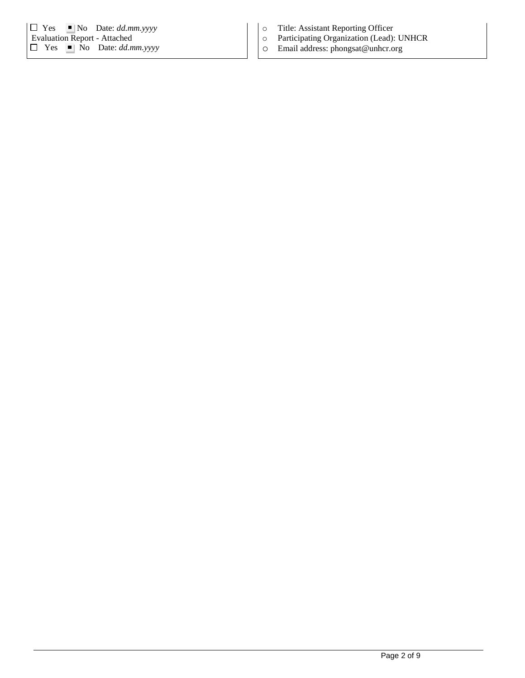|                                     | $\Box$ Yes |  | $\blacksquare$ No Date: <i>dd.mm.yyyy</i>     |  |  |
|-------------------------------------|------------|--|-----------------------------------------------|--|--|
| <b>Evaluation Report - Attached</b> |            |  |                                               |  |  |
|                                     |            |  | $\Box$ Yes $\blacksquare$ No Date: dd.mm.yyyy |  |  |

- o Title: Assistant Reporting Officer
- Participating Organization (Lead): UNHCR
- o Email address: phongsat@unhcr.org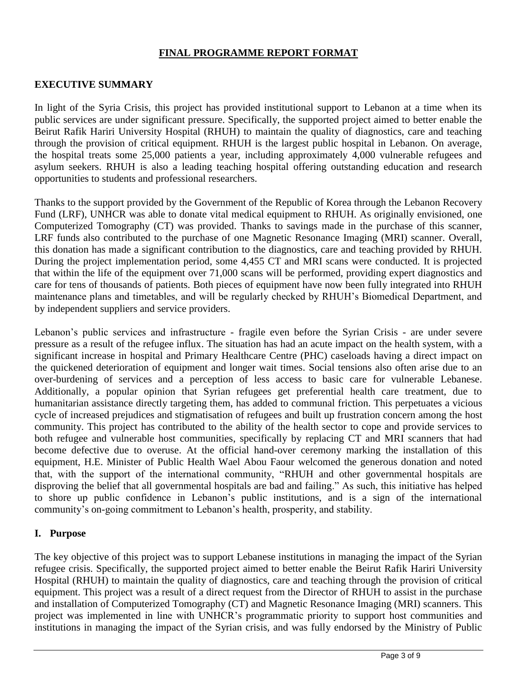## **FINAL PROGRAMME REPORT FORMAT**

## **EXECUTIVE SUMMARY**

In light of the Syria Crisis, this project has provided institutional support to Lebanon at a time when its public services are under significant pressure. Specifically, the supported project aimed to better enable the Beirut Rafik Hariri University Hospital (RHUH) to maintain the quality of diagnostics, care and teaching through the provision of critical equipment. RHUH is the largest public hospital in Lebanon. On average, the hospital treats some 25,000 patients a year, including approximately 4,000 vulnerable refugees and asylum seekers. RHUH is also a leading teaching hospital offering outstanding education and research opportunities to students and professional researchers.

Thanks to the support provided by the Government of the Republic of Korea through the Lebanon Recovery Fund (LRF), UNHCR was able to donate vital medical equipment to RHUH. As originally envisioned, one Computerized Tomography (CT) was provided. Thanks to savings made in the purchase of this scanner, LRF funds also contributed to the purchase of one Magnetic Resonance Imaging (MRI) scanner. Overall, this donation has made a significant contribution to the diagnostics, care and teaching provided by RHUH. During the project implementation period, some 4,455 CT and MRI scans were conducted. It is projected that within the life of the equipment over 71,000 scans will be performed, providing expert diagnostics and care for tens of thousands of patients. Both pieces of equipment have now been fully integrated into RHUH maintenance plans and timetables, and will be regularly checked by RHUH's Biomedical Department, and by independent suppliers and service providers.

Lebanon's public services and infrastructure - fragile even before the Syrian Crisis - are under severe pressure as a result of the refugee influx. The situation has had an acute impact on the health system, with a significant increase in hospital and Primary Healthcare Centre (PHC) caseloads having a direct impact on the quickened deterioration of equipment and longer wait times. Social tensions also often arise due to an over-burdening of services and a perception of less access to basic care for vulnerable Lebanese. Additionally, a popular opinion that Syrian refugees get preferential health care treatment, due to humanitarian assistance directly targeting them, has added to communal friction. This perpetuates a vicious cycle of increased prejudices and stigmatisation of refugees and built up frustration concern among the host community. This project has contributed to the ability of the health sector to cope and provide services to both refugee and vulnerable host communities, specifically by replacing CT and MRI scanners that had become defective due to overuse. At the official hand-over ceremony marking the installation of this equipment, H.E. Minister of Public Health Wael Abou Faour welcomed the generous donation and noted that, with the support of the international community, "RHUH and other governmental hospitals are disproving the belief that all governmental hospitals are bad and failing." As such, this initiative has helped to shore up public confidence in Lebanon's public institutions, and is a sign of the international community's on-going commitment to Lebanon's health, prosperity, and stability.

#### **I. Purpose**

The key objective of this project was to support Lebanese institutions in managing the impact of the Syrian refugee crisis. Specifically, the supported project aimed to better enable the Beirut Rafik Hariri University Hospital (RHUH) to maintain the quality of diagnostics, care and teaching through the provision of critical equipment. This project was a result of a direct request from the Director of RHUH to assist in the purchase and installation of Computerized Tomography (CT) and Magnetic Resonance Imaging (MRI) scanners. This project was implemented in line with UNHCR's programmatic priority to support host communities and institutions in managing the impact of the Syrian crisis, and was fully endorsed by the Ministry of Public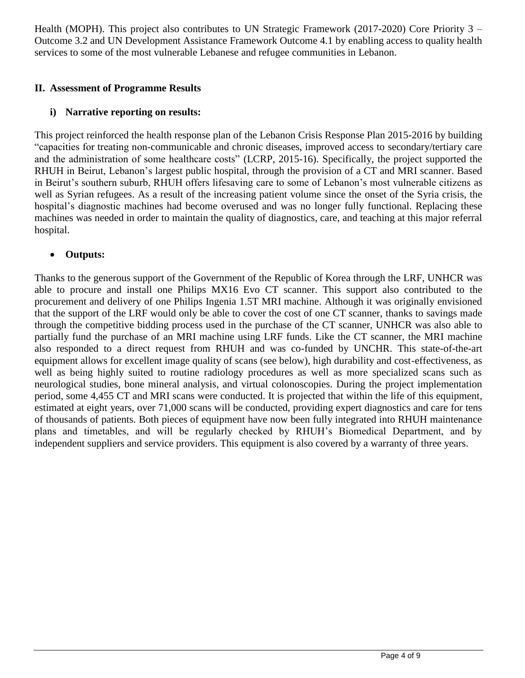Health (MOPH). This project also contributes to UN Strategic Framework (2017-2020) Core Priority 3 – Outcome 3.2 and UN Development Assistance Framework Outcome 4.1 by enabling access to quality health services to some of the most vulnerable Lebanese and refugee communities in Lebanon.

## **II. Assessment of Programme Results**

# **i) Narrative reporting on results:**

This project reinforced the health response plan of the Lebanon Crisis Response Plan 2015-2016 by building "capacities for treating non-communicable and chronic diseases, improved access to secondary/tertiary care and the administration of some healthcare costs" (LCRP, 2015-16). Specifically, the project supported the RHUH in Beirut, Lebanon's largest public hospital, through the provision of a CT and MRI scanner. Based in Beirut's southern suburb, RHUH offers lifesaving care to some of Lebanon's most vulnerable citizens as well as Syrian refugees. As a result of the increasing patient volume since the onset of the Syria crisis, the hospital's diagnostic machines had become overused and was no longer fully functional. Replacing these machines was needed in order to maintain the quality of diagnostics, care, and teaching at this major referral hospital.

## **Outputs:**

Thanks to the generous support of the Government of the Republic of Korea through the LRF, UNHCR was able to procure and install one Philips MX16 Evo CT scanner. This support also contributed to the procurement and delivery of one Philips Ingenia 1.5T MRI machine. Although it was originally envisioned that the support of the LRF would only be able to cover the cost of one CT scanner, thanks to savings made through the competitive bidding process used in the purchase of the CT scanner, UNHCR was also able to partially fund the purchase of an MRI machine using LRF funds. Like the CT scanner, the MRI machine also responded to a direct request from RHUH and was co-funded by UNCHR. This state-of-the-art equipment allows for excellent image quality of scans (see below), high durability and cost-effectiveness, as well as being highly suited to routine radiology procedures as well as more specialized scans such as neurological studies, bone mineral analysis, and virtual colonoscopies. During the project implementation period, some 4,455 CT and MRI scans were conducted. It is projected that within the life of this equipment, estimated at eight years, over 71,000 scans will be conducted, providing expert diagnostics and care for tens of thousands of patients. Both pieces of equipment have now been fully integrated into RHUH maintenance plans and timetables, and will be regularly checked by RHUH's Biomedical Department, and by independent suppliers and service providers. This equipment is also covered by a warranty of three years.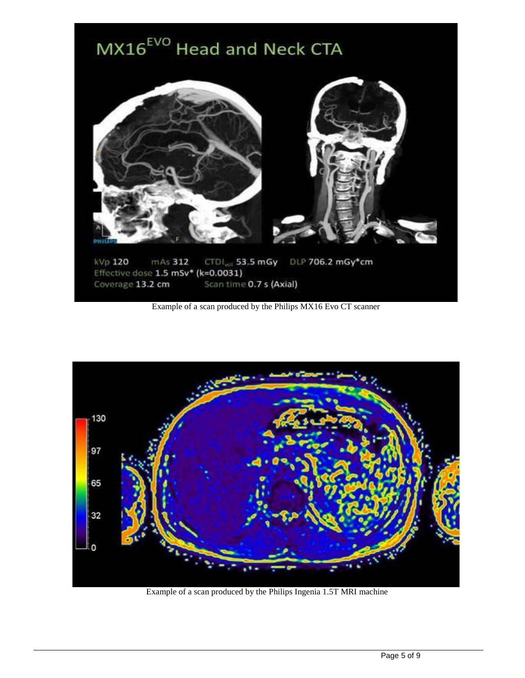

Example of a scan produced by the Philips MX16 Evo CT scanner



Example of a scan produced by the Philips Ingenia 1.5T MRI machine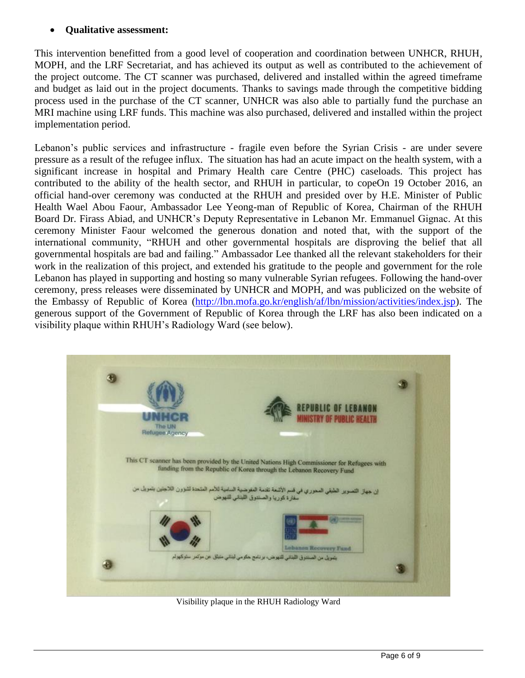#### **Qualitative assessment:**

This intervention benefitted from a good level of cooperation and coordination between UNHCR, RHUH, MOPH, and the LRF Secretariat, and has achieved its output as well as contributed to the achievement of the project outcome. The CT scanner was purchased, delivered and installed within the agreed timeframe and budget as laid out in the project documents. Thanks to savings made through the competitive bidding process used in the purchase of the CT scanner, UNHCR was also able to partially fund the purchase an MRI machine using LRF funds. This machine was also purchased, delivered and installed within the project implementation period.

Lebanon's public services and infrastructure - fragile even before the Syrian Crisis - are under severe pressure as a result of the refugee influx. The situation has had an acute impact on the health system, with a significant increase in hospital and Primary Health care Centre (PHC) caseloads. This project has contributed to the ability of the health sector, and RHUH in particular, to copeOn 19 October 2016, an official hand-over ceremony was conducted at the RHUH and presided over by H.E. Minister of Public Health Wael Abou Faour, Ambassador Lee Yeong-man of Republic of Korea, Chairman of the RHUH Board Dr. Firass Abiad, and UNHCR's Deputy Representative in Lebanon Mr. Emmanuel Gignac. At this ceremony Minister Faour welcomed the generous donation and noted that, with the support of the international community, "RHUH and other governmental hospitals are disproving the belief that all governmental hospitals are bad and failing." Ambassador Lee thanked all the relevant stakeholders for their work in the realization of this project, and extended his gratitude to the people and government for the role Lebanon has played in supporting and hosting so many vulnerable Syrian refugees. Following the hand-over ceremony, press releases were disseminated by UNHCR and MOPH, and was publicized on the website of the Embassy of Republic of Korea [\(http://lbn.mofa.go.kr/english/af/lbn/mission/activities/index.jsp\)](http://lbn.mofa.go.kr/english/af/lbn/mission/activities/index.jsp). The generous support of the Government of Republic of Korea through the LRF has also been indicated on a visibility plaque within RHUH's Radiology Ward (see below).



Visibility plaque in the RHUH Radiology Ward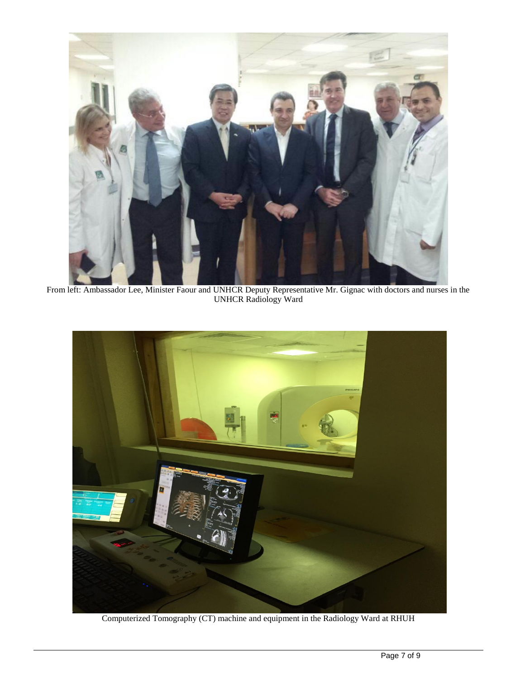

From left: Ambassador Lee, Minister Faour and UNHCR Deputy Representative Mr. Gignac with doctors and nurses in the UNHCR Radiology Ward



Computerized Tomography (CT) machine and equipment in the Radiology Ward at RHUH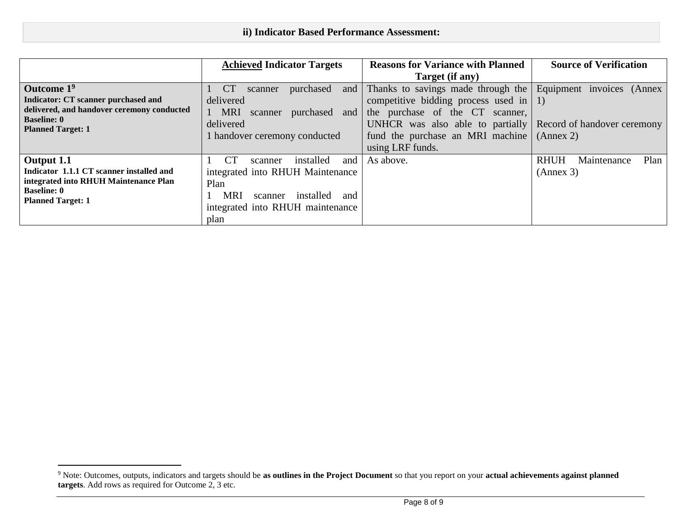|                                                | <b>Achieved Indicator Targets</b>         | <b>Reasons for Variance with Planned</b>                     | <b>Source of Verification</b>      |
|------------------------------------------------|-------------------------------------------|--------------------------------------------------------------|------------------------------------|
|                                                |                                           | Target (if any)                                              |                                    |
| Outcome 1 <sup>9</sup>                         | <b>CT</b><br>purchased<br>and<br>scanner  | Thanks to savings made through the                           | Equipment invoices (Annex          |
| Indicator: CT scanner purchased and            | delivered                                 | competitive bidding process used in $ 1\rangle$              |                                    |
| delivered, and handover ceremony conducted     | <b>MRI</b><br>purchased<br>and<br>scanner | the purchase of the CT<br>scanner,                           |                                    |
| <b>Baseline: 0</b><br><b>Planned Target: 1</b> | delivered                                 | UNHCR was also able to partially Record of handover ceremony |                                    |
|                                                | 1 handover ceremony conducted             | fund the purchase an MRI machine $(Annex 2)$                 |                                    |
|                                                |                                           | using LRF funds.                                             |                                    |
| Output 1.1                                     | <b>CT</b><br>installed<br>and<br>scanner  | As above.                                                    | Plan<br><b>RHUH</b><br>Maintenance |
| Indicator 1.1.1 CT scanner installed and       | integrated into RHUH Maintenance          |                                                              | (Annex 3)                          |
| integrated into RHUH Maintenance Plan          | Plan                                      |                                                              |                                    |
| <b>Baseline: 0</b><br><b>Planned Target: 1</b> | MRI<br>installed<br>and<br>scanner        |                                                              |                                    |
|                                                | integrated into RHUH maintenance          |                                                              |                                    |
|                                                | plan                                      |                                                              |                                    |

 $\overline{a}$ 

<sup>9</sup> Note: Outcomes, outputs, indicators and targets should be **as outlines in the Project Document** so that you report on your **actual achievements against planned targets**. Add rows as required for Outcome 2, 3 etc.